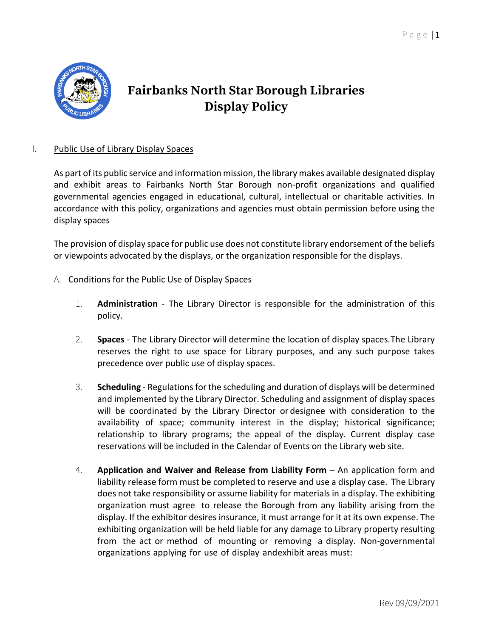

## **Fairbanks North Star Borough Libraries Display Policy**

## I. Public Use of Library Display Spaces

As part of its public service and information mission, the library makes available designated display and exhibit areas to Fairbanks North Star Borough non-profit organizations and qualified governmental agencies engaged in educational, cultural, intellectual or charitable activities. In accordance with this policy, organizations and agencies must obtain permission before using the display spaces

The provision of display space for public use does not constitute library endorsement of the beliefs or viewpoints advocated by the displays, or the organization responsible for the displays.

- A. Conditions for the Public Use of Display Spaces
	- 1. **Administration** The Library Director is responsible for the administration of this policy.
	- 2. **Spaces** The Library Director will determine the location of display spaces.The Library reserves the right to use space for Library purposes, and any such purpose takes precedence over public use of display spaces.
	- 3. **Scheduling** Regulations for the scheduling and duration of displays will be determined and implemented by the Library Director. Scheduling and assignment of display spaces will be coordinated by the Library Director or designee with consideration to the availability of space; community interest in the display; historical significance; relationship to library programs; the appeal of the display. Current display case reservations will be included in the Calendar of Events on the Library web site.
	- 4. **Application and Waiver and Release from Liability Form** An application form and liability release form must be completed to reserve and use a display case. The Library does not take responsibility or assume liability for materials in a display. The exhibiting organization must agree to release the Borough from any liability arising from the display. If the exhibitor desires insurance, it must arrange for it at its own expense. The exhibiting organization will be held liable for any damage to Library property resulting from the act or method of mounting or removing a display. Non-governmental organizations applying for use of display andexhibit areas must: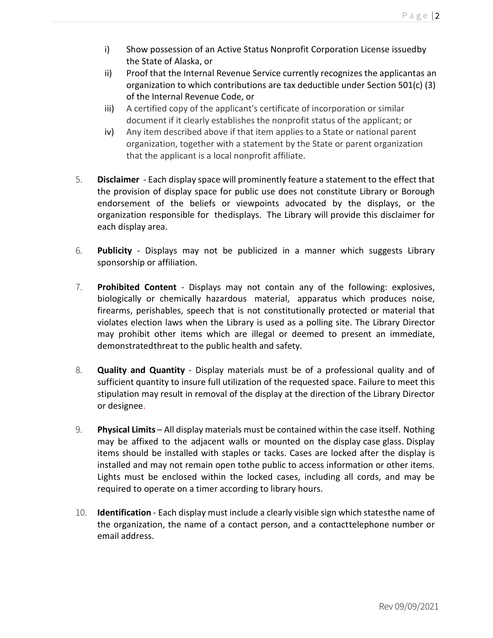- i) Show possession of an Active Status Nonprofit Corporation License issuedby the State of Alaska, or
- ii) Proof that the Internal Revenue Service currently recognizes the applicantas an organization to which contributions are tax deductible under Section 501(c) (3) of the Internal Revenue Code, or
- iii) A certified copy of the applicant's certificate of incorporation or similar document if it clearly establishes the nonprofit status of the applicant; or
- iv) Any item described above if that item applies to a State or national parent organization, together with a statement by the State or parent organization that the applicant is a local nonprofit affiliate.
- 5. **Disclaimer** Each display space will prominently feature a statement to the effect that the provision of display space for public use does not constitute Library or Borough endorsement of the beliefs or viewpoints advocated by the displays, or the organization responsible for thedisplays. The Library will provide this disclaimer for each display area.
- 6. **Publicity** Displays may not be publicized in a manner which suggests Library sponsorship or affiliation.
- 7. **Prohibited Content** Displays may not contain any of the following: explosives, biologically or chemically hazardous material, apparatus which produces noise, firearms, perishables, speech that is not constitutionally protected or material that violates election laws when the Library is used as a polling site. The Library Director may prohibit other items which are illegal or deemed to present an immediate, demonstratedthreat to the public health and safety.
- 8. **Quality and Quantity** Display materials must be of a professional quality and of sufficient quantity to insure full utilization of the requested space. Failure to meet this stipulation may result in removal of the display at the direction of the Library Director or designee.
- 9. **Physical Limits** All display materials must be contained within the case itself. Nothing may be affixed to the adjacent walls or mounted on the display case glass. Display items should be installed with staples or tacks. Cases are locked after the display is installed and may not remain open tothe public to access information or other items. Lights must be enclosed within the locked cases, including all cords, and may be required to operate on a timer according to library hours.
- 10. **Identification** Each display must include a clearly visible sign which statesthe name of the organization, the name of a contact person, and a contacttelephone number or email address.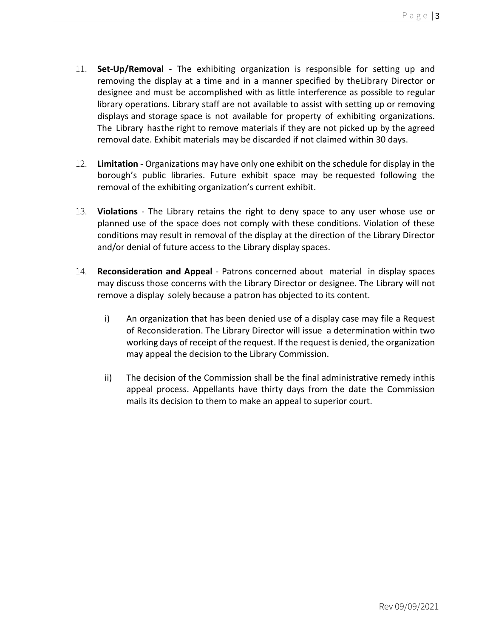- 11. **Set-Up/Removal** The exhibiting organization is responsible for setting up and removing the display at a time and in a manner specified by theLibrary Director or designee and must be accomplished with as little interference as possible to regular library operations. Library staff are not available to assist with setting up or removing displays and storage space is not available for property of exhibiting organizations. The Library hasthe right to remove materials if they are not picked up by the agreed removal date. Exhibit materials may be discarded if not claimed within 30 days.
- 12. **Limitation** Organizations may have only one exhibit on the schedule for display in the borough's public libraries. Future exhibit space may be requested following the removal of the exhibiting organization's current exhibit.
- 13. **Violations** The Library retains the right to deny space to any user whose use or planned use of the space does not comply with these conditions. Violation of these conditions may result in removal of the display at the direction of the Library Director and/or denial of future access to the Library display spaces.
- 14. **Reconsideration and Appeal** Patrons concerned about material in display spaces may discuss those concerns with the Library Director or designee. The Library will not remove a display solely because a patron has objected to its content.
	- i) An organization that has been denied use of a display case may file a Request of Reconsideration. The Library Director will issue a determination within two working days of receipt of the request. If the request is denied, the organization may appeal the decision to the Library Commission.
	- ii) The decision of the Commission shall be the final administrative remedy inthis appeal process. Appellants have thirty days from the date the Commission mails its decision to them to make an appeal to superior court.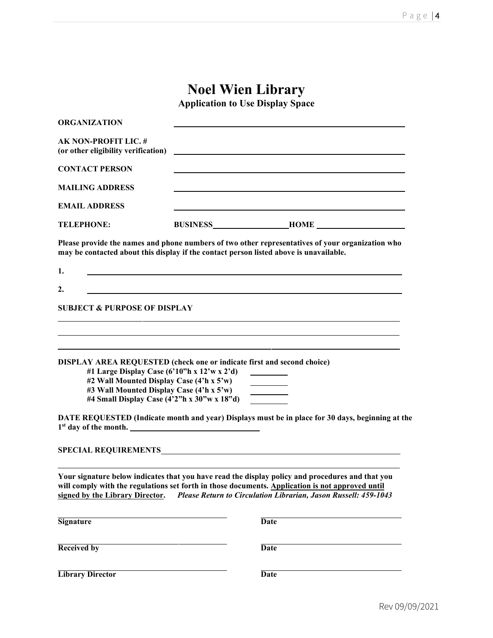# **Noel Wien Library**

**Application to Use Display Space** 

| <b>ORGANIZATION</b>                                                                                                                                                                                                                                             |                                                                  |                                                                                                                                                                                                                                                                         |
|-----------------------------------------------------------------------------------------------------------------------------------------------------------------------------------------------------------------------------------------------------------------|------------------------------------------------------------------|-------------------------------------------------------------------------------------------------------------------------------------------------------------------------------------------------------------------------------------------------------------------------|
| <b>AK NON-PROFIT LIC. #</b><br>(or other eligibility verification)                                                                                                                                                                                              |                                                                  | <u> 1989 - Johann Barbara, martin amerikan basal dan berasal dan berasal dalam basal dan berasal dan berasal dan</u>                                                                                                                                                    |
| <b>CONTACT PERSON</b>                                                                                                                                                                                                                                           |                                                                  |                                                                                                                                                                                                                                                                         |
| <b>MAILING ADDRESS</b>                                                                                                                                                                                                                                          |                                                                  |                                                                                                                                                                                                                                                                         |
| <b>EMAIL ADDRESS</b>                                                                                                                                                                                                                                            |                                                                  |                                                                                                                                                                                                                                                                         |
| <b>TELEPHONE:</b>                                                                                                                                                                                                                                               |                                                                  |                                                                                                                                                                                                                                                                         |
| may be contacted about this display if the contact person listed above is unavailable.                                                                                                                                                                          |                                                                  | Please provide the names and phone numbers of two other representatives of your organization who                                                                                                                                                                        |
| 1.                                                                                                                                                                                                                                                              | <u> 1989 - Johann Barbara, martxa eta politikaria (h. 1989).</u> |                                                                                                                                                                                                                                                                         |
| 2.                                                                                                                                                                                                                                                              |                                                                  |                                                                                                                                                                                                                                                                         |
| <b>SUBJECT &amp; PURPOSE OF DISPLAY</b>                                                                                                                                                                                                                         |                                                                  |                                                                                                                                                                                                                                                                         |
| DISPLAY AREA REQUESTED (check one or indicate first and second choice)<br>#1 Large Display Case $(6'10''h x 12'w x 2'd)$<br>#2 Wall Mounted Display Case (4'h x 5'w)<br>#3 Wall Mounted Display Case (4'h x 5'w)<br>#4 Small Display Case (4'2"h x 30"w x 18"d) |                                                                  | <u> 1989 - Andrea Santa Alemania, amerikana amerikana amerikana amerikana amerikana amerikana amerikana amerikana</u><br>DATE REQUESTED (Indicate month and year) Displays must be in place for 30 days, beginning at the                                               |
|                                                                                                                                                                                                                                                                 |                                                                  |                                                                                                                                                                                                                                                                         |
| signed by the Library Director.                                                                                                                                                                                                                                 |                                                                  | Your signature below indicates that you have read the display policy and procedures and that you<br>will comply with the regulations set forth in those documents. Application is not approved until<br>Please Return to Circulation Librarian, Jason Russell: 459-1043 |
| <b>Signature</b>                                                                                                                                                                                                                                                |                                                                  | <b>Date</b>                                                                                                                                                                                                                                                             |
| <b>Received by</b>                                                                                                                                                                                                                                              |                                                                  | <b>Date</b>                                                                                                                                                                                                                                                             |
| <b>Library Director</b>                                                                                                                                                                                                                                         |                                                                  | <b>Date</b>                                                                                                                                                                                                                                                             |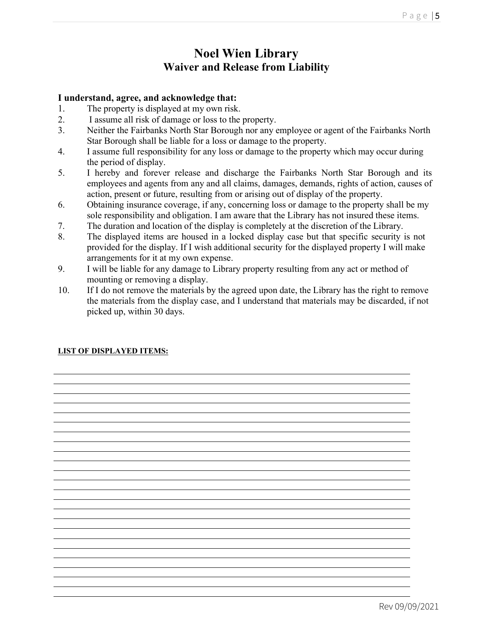## **Noel Wien Library Waiver and Release from Liability**

### **I understand, agree, and acknowledge that:**

- 1. The property is displayed at my own risk.
- 2. I assume all risk of damage or loss to the property.
- 3. Neither the Fairbanks North Star Borough nor any employee or agent of the Fairbanks North Star Borough shall be liable for a loss or damage to the property.
- 4. I assume full responsibility for any loss or damage to the property which may occur during the period of display.
- 5. I hereby and forever release and discharge the Fairbanks North Star Borough and its employees and agents from any and all claims, damages, demands, rights of action, causes of action, present or future, resulting from or arising out of display of the property.
- 6. Obtaining insurance coverage, if any, concerning loss or damage to the property shall be my sole responsibility and obligation. I am aware that the Library has not insured these items.
- 7. The duration and location of the display is completely at the discretion of the Library.
- 8. The displayed items are housed in a locked display case but that specific security is not provided for the display. If I wish additional security for the displayed property I will make arrangements for it at my own expense.
- 9. I will be liable for any damage to Library property resulting from any act or method of mounting or removing a display.
- 10. If I do not remove the materials by the agreed upon date, the Library has the right to remove the materials from the display case, and I understand that materials may be discarded, if not picked up, within 30 days.

the control of the control of the control of the control of the control of the control of the control of the control of the control of the control of the control of the control of the control of the control of the control

### **LIST OF DISPLAYED ITEMS:**